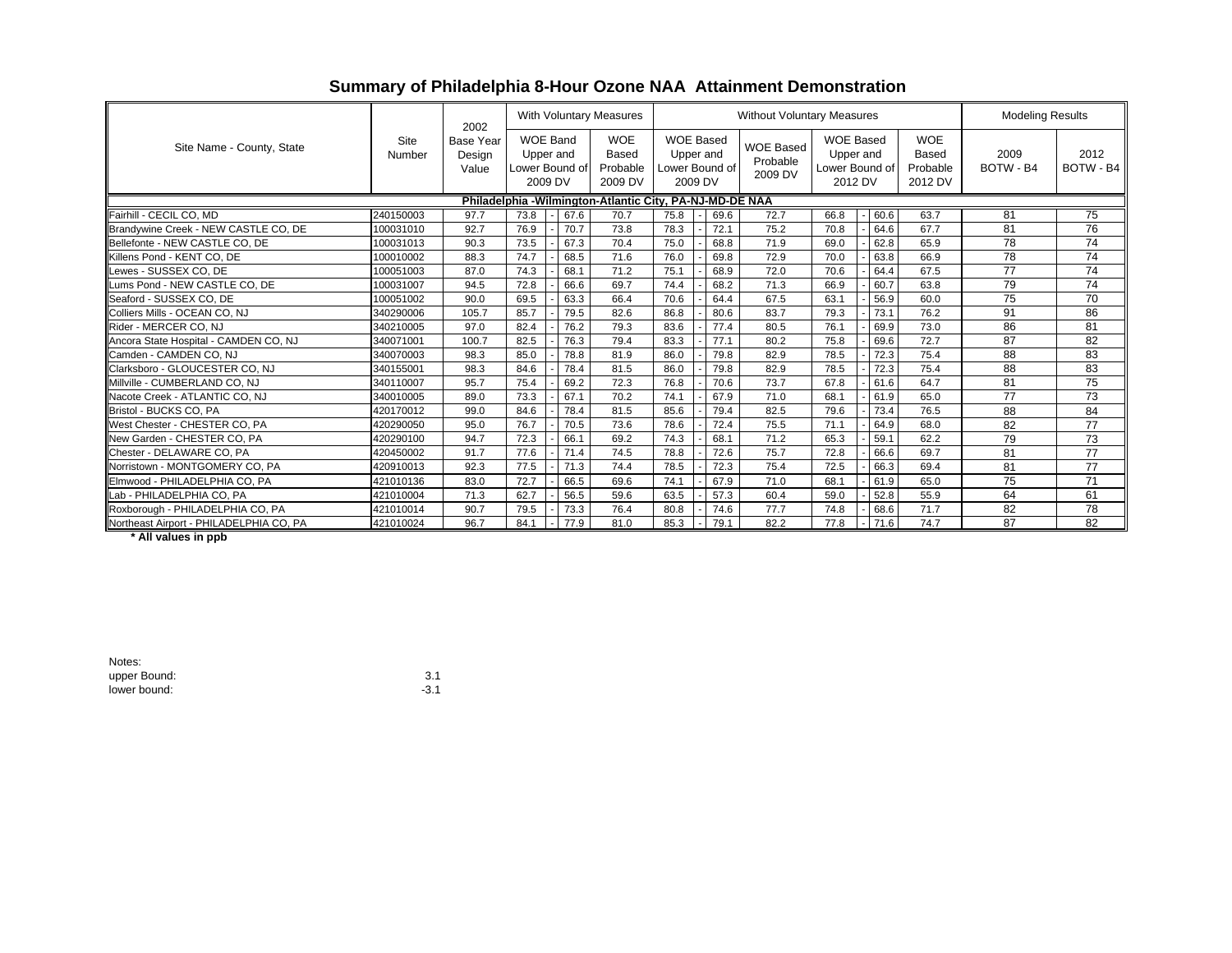|  |  |  |  |  | Summary of Philadelphia 8-Hour Ozone NAA Attainment Demonstration |
|--|--|--|--|--|-------------------------------------------------------------------|
|--|--|--|--|--|-------------------------------------------------------------------|

|                                                          |                | 2002<br><b>Base Year</b><br>Design<br>Value | <b>With Voluntary Measures</b>                            |  |                                                   | <b>Without Voluntary Measures</b>                          |      |  |                                         |                                                            |      | <b>Modeling Results</b> |                                                   |                   |                   |                 |
|----------------------------------------------------------|----------------|---------------------------------------------|-----------------------------------------------------------|--|---------------------------------------------------|------------------------------------------------------------|------|--|-----------------------------------------|------------------------------------------------------------|------|-------------------------|---------------------------------------------------|-------------------|-------------------|-----------------|
| Site Name - County, State                                | Site<br>Number |                                             | <b>WOE Band</b><br>Upper and<br>Lower Bound of<br>2009 DV |  | <b>WOE</b><br><b>Based</b><br>Probable<br>2009 DV | <b>WOE Based</b><br>Upper and<br>Lower Bound of<br>2009 DV |      |  | <b>WOE Based</b><br>Probable<br>2009 DV | <b>WOE Based</b><br>Upper and<br>Lower Bound of<br>2012 DV |      |                         | <b>WOE</b><br><b>Based</b><br>Probable<br>2012 DV | 2009<br>BOTW - B4 | 2012<br>BOTW - B4 |                 |
| Philadelphia - Wilmington-Atlantic City, PA-NJ-MD-DE NAA |                |                                             |                                                           |  |                                                   |                                                            |      |  |                                         |                                                            |      |                         |                                                   |                   |                   |                 |
| Fairhill - CECIL CO, MD                                  | 240150003      | 97.7                                        | 73.8                                                      |  | 67.6                                              | 70.7                                                       | 75.8 |  | 69.6                                    | 72.7                                                       | 66.8 |                         | 60.6                                              | 63.7              | 81                | 75              |
| Brandywine Creek - NEW CASTLE CO, DE                     | 100031010      | 92.7                                        | 76.9                                                      |  | 70.7                                              | 73.8                                                       | 78.3 |  | 72.1                                    | 75.2                                                       | 70.8 |                         | 64.6                                              | 67.7              | 81                | 76              |
| Bellefonte - NEW CASTLE CO. DE                           | 100031013      | 90.3                                        | 73.5                                                      |  | 67.3                                              | 70.4                                                       | 75.0 |  | 68.8                                    | 71.9                                                       | 69.0 |                         | 62.8                                              | 65.9              | 78                | $\overline{74}$ |
| Killens Pond - KENT CO. DE                               | 100010002      | 88.3                                        | 74.7                                                      |  | 68.5                                              | 71.6                                                       | 76.0 |  | 69.8                                    | 72.9                                                       | 70.0 |                         | 63.8                                              | 66.9              | 78                | 74              |
| ewes - SUSSEX CO. DE                                     | 100051003      | 87.0                                        | 74.3                                                      |  | 68.1                                              | 71.2                                                       | 75.1 |  | 68.9                                    | 72.0                                                       | 70.6 |                         | 64.4                                              | 67.5              | 77                | 74              |
| Lums Pond - NEW CASTLE CO. DE                            | 100031007      | 94.5                                        | 72.8                                                      |  | 66.6                                              | 69.7                                                       | 74.4 |  | 68.2                                    | 71.3                                                       | 66.9 |                         | 60.7                                              | 63.8              | 79                | 74              |
| Seaford - SUSSEX CO. DE                                  | 100051002      | 90.0                                        | 69.5                                                      |  | 63.3                                              | 66.4                                                       | 70.6 |  | 64.4                                    | 67.5                                                       | 63.1 |                         | 56.9                                              | 60.0              | 75                | 70              |
| Colliers Mills - OCEAN CO. NJ                            | 340290006      | 105.7                                       | 85.7                                                      |  | 79.5                                              | 82.6                                                       | 86.8 |  | 80.6                                    | 83.7                                                       | 79.3 |                         | 73.1                                              | 76.2              | 91                | 86              |
| Rider - MERCER CO. NJ                                    | 340210005      | 97.0                                        | 82.4                                                      |  | 76.2                                              | 79.3                                                       | 83.6 |  | 77.4                                    | 80.5                                                       | 76.1 |                         | 69.9                                              | 73.0              | 86                | 81              |
| Ancora State Hospital - CAMDEN CO, NJ                    | 340071001      | 100.7                                       | 82.5                                                      |  | 76.3                                              | 79.4                                                       | 83.3 |  | 77.1                                    | 80.2                                                       | 75.8 |                         | 69.6                                              | 72.7              | 87                | 82              |
| Camden - CAMDEN CO, NJ                                   | 340070003      | 98.3                                        | 85.0                                                      |  | 78.8                                              | 81.9                                                       | 86.0 |  | 79.8                                    | 82.9                                                       | 78.5 |                         | 72.3                                              | 75.4              | 88                | 83              |
| Clarksboro - GLOUCESTER CO. NJ                           | 340155001      | 98.3                                        | 84.6                                                      |  | 78.4                                              | 81.5                                                       | 86.0 |  | 79.8                                    | 82.9                                                       | 78.5 |                         | 72.3                                              | 75.4              | 88                | 83              |
| Millville - CUMBERLAND CO. NJ                            | 340110007      | 95.7                                        | 75.4                                                      |  | 69.2                                              | 72.3                                                       | 76.8 |  | 70.6                                    | 73.7                                                       | 67.8 |                         | 61.6                                              | 64.7              | 81                | 75              |
| Nacote Creek - ATLANTIC CO. NJ                           | 340010005      | 89.0                                        | 73.3                                                      |  | 67.1                                              | 70.2                                                       | 74.1 |  | 67.9                                    | 71.0                                                       | 68.1 |                         | 61.9                                              | 65.0              | 77                | 73              |
| Bristol - BUCKS CO, PA                                   | 420170012      | 99.0                                        | 84.6                                                      |  | 78.4                                              | 81.5                                                       | 85.6 |  | 79.4                                    | 82.5                                                       | 79.6 |                         | 73.4                                              | 76.5              | 88                | 84              |
| West Chester - CHESTER CO, PA                            | 420290050      | 95.0                                        | 76.7                                                      |  | 70.5                                              | 73.6                                                       | 78.6 |  | 72.4                                    | 75.5                                                       | 71.1 |                         | 64.9                                              | 68.0              | 82                | 77              |
| New Garden - CHESTER CO. PA                              | 420290100      | 94.7                                        | 72.3                                                      |  | 66.1                                              | 69.2                                                       | 74.3 |  | 68.1                                    | 71.2                                                       | 65.3 |                         | 59.1                                              | 62.2              | 79                | 73              |
| Chester - DELAWARE CO. PA                                | 420450002      | 91.7                                        | 77.6                                                      |  | 71.4                                              | 74.5                                                       | 78.8 |  | 72.6                                    | 75.7                                                       | 72.8 |                         | 66.6                                              | 69.7              | 81                | 77              |
| Norristown - MONTGOMERY CO. PA                           | 420910013      | 92.3                                        | 77.5                                                      |  | 71.3                                              | 74.4                                                       | 78.5 |  | 72.3                                    | 75.4                                                       | 72.5 |                         | 66.3                                              | 69.4              | 81                | 77              |
| Elmwood - PHILADELPHIA CO. PA                            | 421010136      | 83.0                                        | 72.7                                                      |  | 66.5                                              | 69.6                                                       | 74.1 |  | 67.9                                    | 71.0                                                       | 68.1 |                         | 61.9                                              | 65.0              | 75                | 71              |
| Lab - PHILADELPHIA CO, PA                                | 421010004      | 71.3                                        | 62.7                                                      |  | 56.5                                              | 59.6                                                       | 63.5 |  | 57.3                                    | 60.4                                                       | 59.0 |                         | 52.8                                              | 55.9              | 64                | 61              |
| Roxborough - PHILADELPHIA CO, PA                         | 421010014      | 90.7                                        | 79.5                                                      |  | 73.3                                              | 76.4                                                       | 80.8 |  | 74.6                                    | 77.7                                                       | 74.8 |                         | 68.6                                              | 71.7              | 82                | 78              |
| Northeast Airport - PHILADELPHIA CO, PA                  | 421010024      | 96.7                                        | 84.1                                                      |  | 77.9                                              | 81.0                                                       | 85.3 |  | 79.1                                    | 82.2                                                       | 77.8 |                         | 71.6                                              | 74.7              | 87                | 82              |

 **\* All values in ppb**

| Notes:       |        |
|--------------|--------|
| upper Bound: | 3.1    |
| lower bound: | $-3.1$ |

 $-3.1$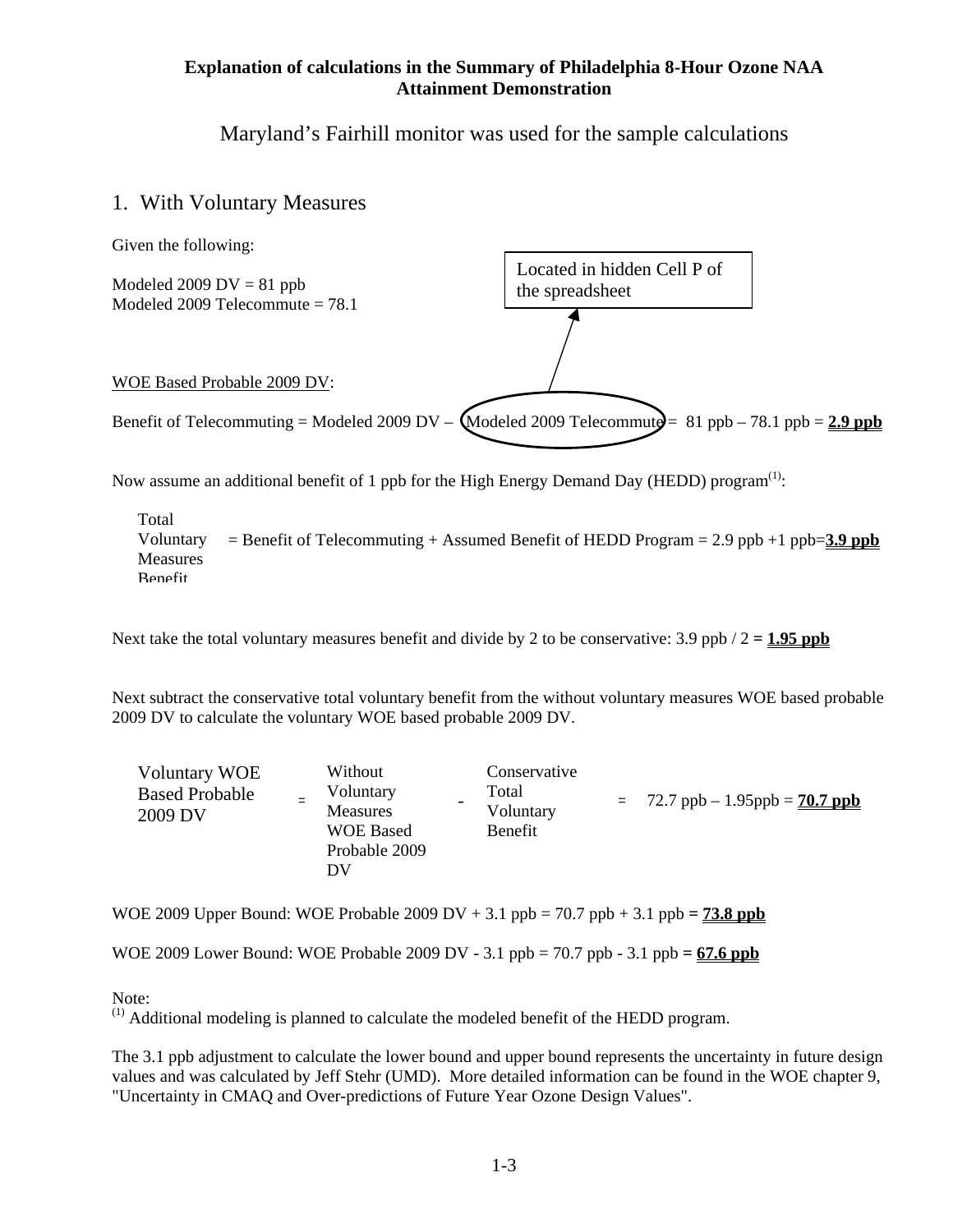#### **Explanation of calculations in the Summary of Philadelphia 8-Hour Ozone NAA Attainment Demonstration**

Maryland's Fairhill monitor was used for the sample calculations

## 1. With Voluntary Measures



Now assume an additional benefit of 1 ppb for the High Energy Demand Day (HEDD) program<sup>(1)</sup>:

 $=$  Benefit of Telecommuting  $+$  Assumed Benefit of HEDD Program  $= 2.9$  ppb  $+1$  ppb=3.9 ppb Total Voluntary **Measures** Benefit

Next take the total voluntary measures benefit and divide by 2 to be conservative:  $3.9$  ppb  $/2 = 1.95$  ppb

Next subtract the conservative total voluntary benefit from the without voluntary measures WOE based probable 2009 DV to calculate the voluntary WOE based probable 2009 DV.

| <b>Voluntary WOE</b><br><b>Based Probable</b><br>2009 DV |  | Without<br>Voluntary<br><b>Measures</b><br><b>WOE Based</b><br>Probable 2009<br>DV |  | Conservative<br>Total<br>Voluntary<br>Benefit |  | $= 72.7$ ppb $- 1.95$ ppb $= 70.7$ ppb |
|----------------------------------------------------------|--|------------------------------------------------------------------------------------|--|-----------------------------------------------|--|----------------------------------------|
|----------------------------------------------------------|--|------------------------------------------------------------------------------------|--|-----------------------------------------------|--|----------------------------------------|

WOE 2009 Upper Bound: WOE Probable 2009 DV  $+ 3.1$  ppb = 70.7 ppb  $+ 3.1$  ppb = **73.8 ppb** 

WOE 2009 Lower Bound: WOE Probable 2009 DV - 3.1 ppb =  $70.7$  ppb - 3.1 ppb =  $67.6$  ppb

Note:

 $<sup>(1)</sup>$  Additional modeling is planned to calculate the modeled benefit of the HEDD program.</sup>

The 3.1 ppb adjustment to calculate the lower bound and upper bound represents the uncertainty in future design values and was calculated by Jeff Stehr (UMD). More detailed information can be found in the WOE chapter 9, "Uncertainty in CMAQ and Over-predictions of Future Year Ozone Design Values".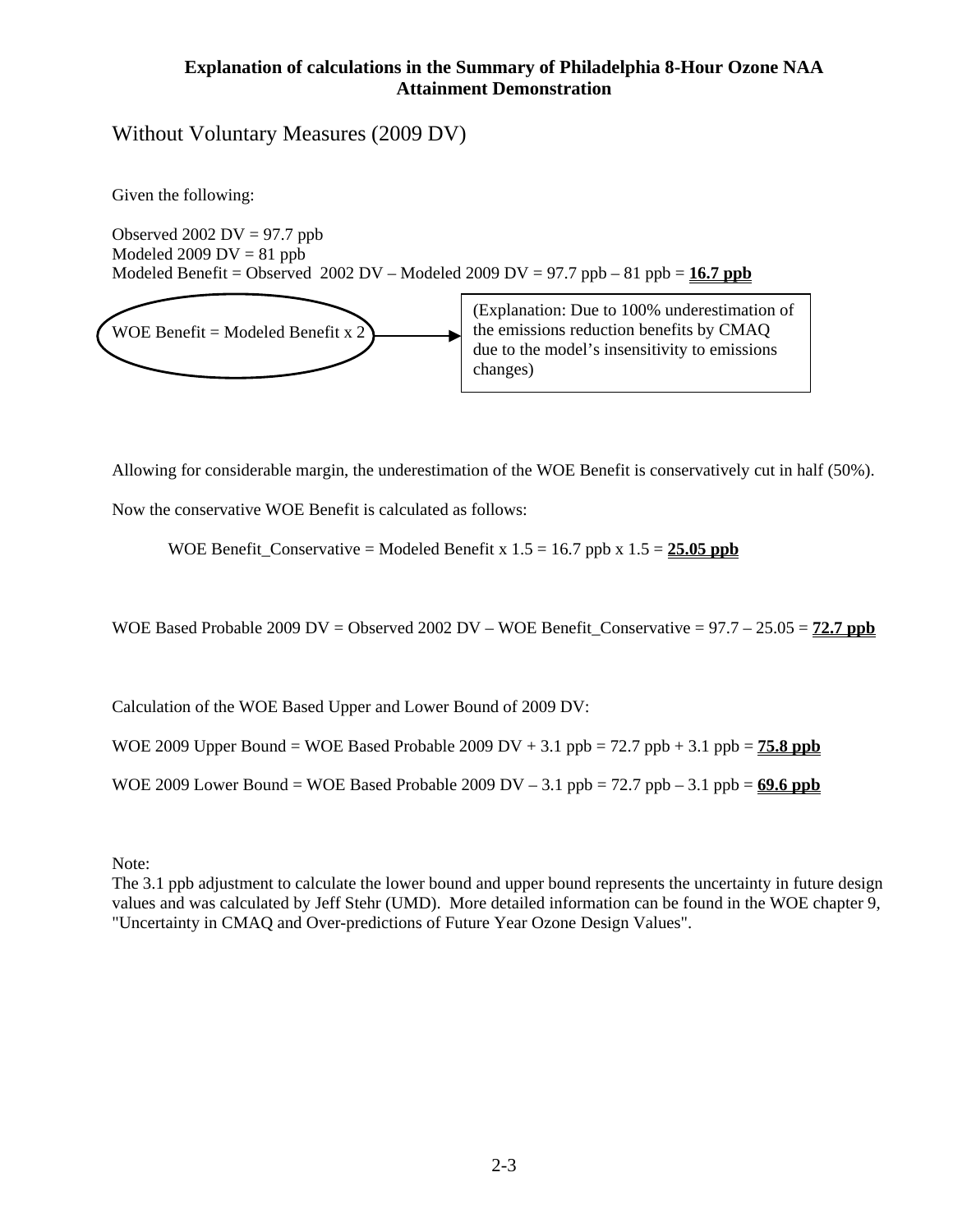#### **Explanation of calculations in the Summary of Philadelphia 8-Hour Ozone NAA Attainment Demonstration**

Without Voluntary Measures (2009 DV)

Given the following:

Observed 2002  $DV = 97.7$  ppb Modeled 2009  $DV = 81$  ppb Modeled Benefit = Observed 2002 DV – Modeled 2009 DV = 97.7 ppb – 81 ppb =  $16.7$  ppb



(Explanation: Due to 100% underestimation of the emissions reduction benefits by CMAQ due to the model's insensitivity to emissions changes)

Allowing for considerable margin, the underestimation of the WOE Benefit is conservatively cut in half (50%).

Now the conservative WOE Benefit is calculated as follows:

WOE Benefit\_Conservative = Modeled Benefit x  $1.5 = 16.7$  ppb x  $1.5 = 25.05$  ppb

WOE Based Probable 2009 DV = Observed 2002 DV – WOE Benefit Conservative =  $97.7 - 25.05 = 72.7$  ppb

Calculation of the WOE Based Upper and Lower Bound of 2009 DV:

WOE 2009 Upper Bound = WOE Based Probable 2009 DV  $+$  3.1 ppb = 72.7 ppb  $+$  3.1 ppb = **75.8 ppb** 

WOE 2009 Lower Bound = WOE Based Probable 2009 DV  $- 3.1$  ppb = 72.7 ppb  $- 3.1$  ppb =  $69.6$  ppb

Note:

The 3.1 ppb adjustment to calculate the lower bound and upper bound represents the uncertainty in future design values and was calculated by Jeff Stehr (UMD). More detailed information can be found in the WOE chapter 9, "Uncertainty in CMAQ and Over-predictions of Future Year Ozone Design Values".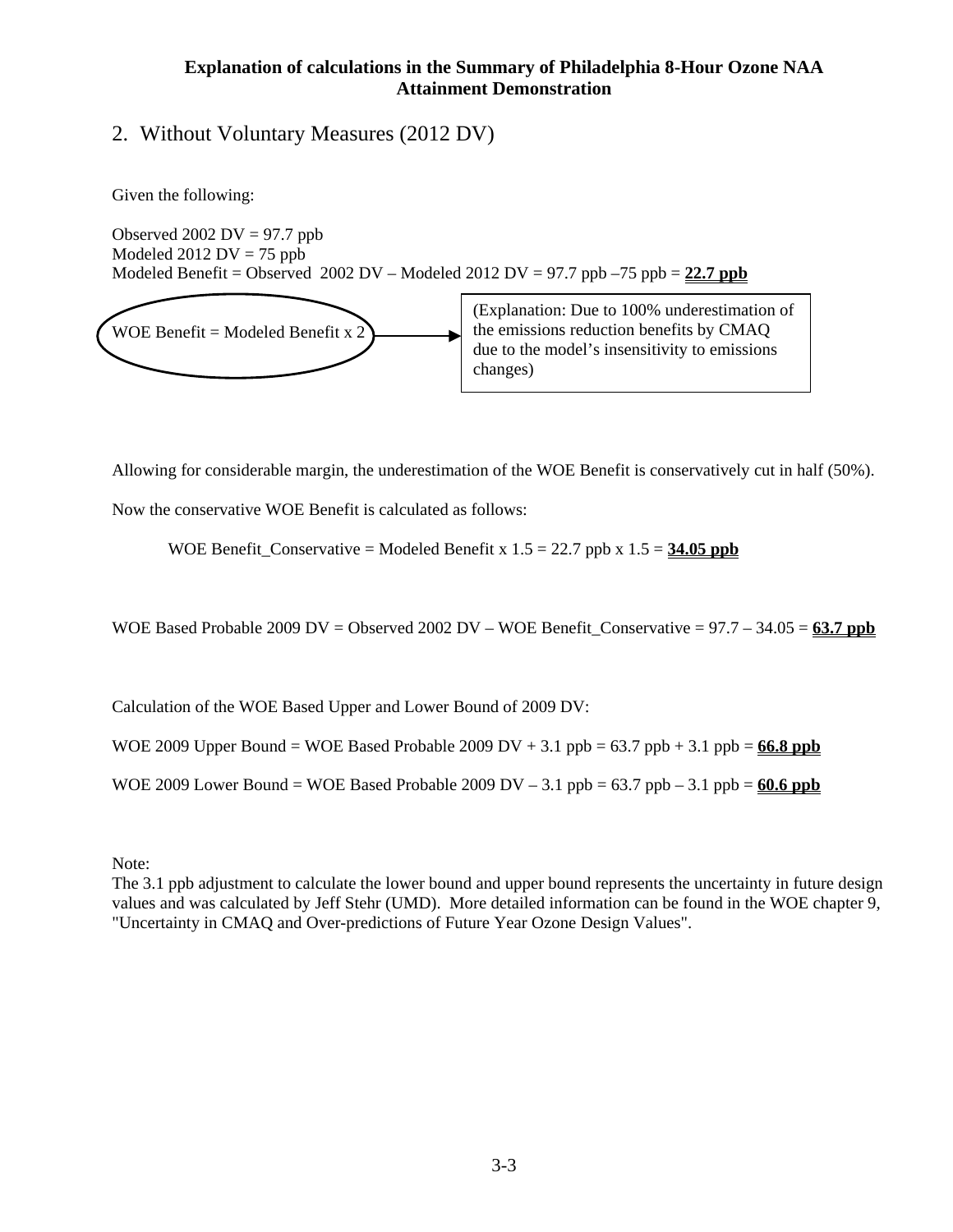#### **Explanation of calculations in the Summary of Philadelphia 8-Hour Ozone NAA Attainment Demonstration**

# 2. Without Voluntary Measures (2012 DV)

Given the following:

Observed 2002  $DV = 97.7$  ppb Modeled  $2012$  DV = 75 ppb Modeled Benefit = Observed 2002 DV – Modeled 2012 DV = 97.7 ppb –75 ppb =  $22.7$  ppb



(Explanation: Due to 100% underestimation of the emissions reduction benefits by CMAQ due to the model's insensitivity to emissions changes)

Allowing for considerable margin, the underestimation of the WOE Benefit is conservatively cut in half (50%).

Now the conservative WOE Benefit is calculated as follows:

WOE Benefit\_Conservative = Modeled Benefit x  $1.5 = 22.7$  ppb x  $1.5 = 34.05$  ppb

WOE Based Probable 2009 DV = Observed 2002 DV – WOE Benefit Conservative =  $97.7 - 34.05 = 63.7$  ppb

Calculation of the WOE Based Upper and Lower Bound of 2009 DV:

WOE 2009 Upper Bound = WOE Based Probable 2009 DV  $+$  3.1 ppb = 63.7 ppb  $+$  3.1 ppb = **66.8 ppb** 

WOE 2009 Lower Bound = WOE Based Probable 2009 DV  $- 3.1$  ppb =  $63.7$  ppb  $- 3.1$  ppb =  $60.6$  ppb

Note:

The 3.1 ppb adjustment to calculate the lower bound and upper bound represents the uncertainty in future design values and was calculated by Jeff Stehr (UMD). More detailed information can be found in the WOE chapter 9, "Uncertainty in CMAQ and Over-predictions of Future Year Ozone Design Values".